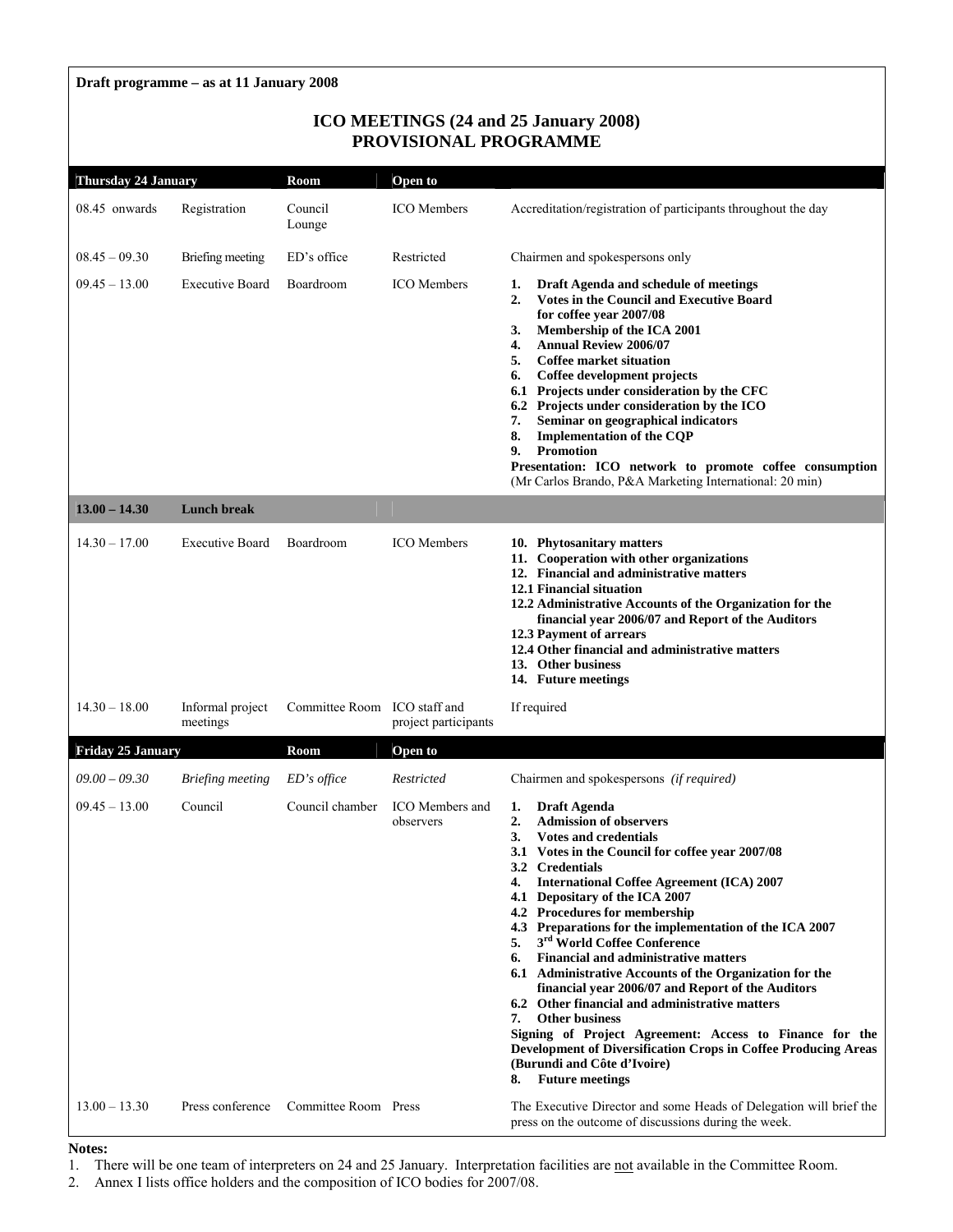# **Draft programme – as at 11 January 2008**

# **ICO MEETINGS (24 and 25 January 2008) PROVISIONAL PROGRAMME**

| <b>Thursday 24 January</b> |                              | Room                         | Open to                             |                                                                                                                                                                                                                                                                                                                                                                                                                                                                                                                                                                                                                                                                                                                                                                                                                                                                          |
|----------------------------|------------------------------|------------------------------|-------------------------------------|--------------------------------------------------------------------------------------------------------------------------------------------------------------------------------------------------------------------------------------------------------------------------------------------------------------------------------------------------------------------------------------------------------------------------------------------------------------------------------------------------------------------------------------------------------------------------------------------------------------------------------------------------------------------------------------------------------------------------------------------------------------------------------------------------------------------------------------------------------------------------|
| 08.45 onwards              | Registration                 | Council<br>Lounge            | <b>ICO</b> Members                  | Accreditation/registration of participants throughout the day                                                                                                                                                                                                                                                                                                                                                                                                                                                                                                                                                                                                                                                                                                                                                                                                            |
| $08.45 - 09.30$            | Briefing meeting             | ED's office                  | Restricted                          | Chairmen and spokespersons only                                                                                                                                                                                                                                                                                                                                                                                                                                                                                                                                                                                                                                                                                                                                                                                                                                          |
| $09.45 - 13.00$            | <b>Executive Board</b>       | Boardroom                    | <b>ICO</b> Members                  | Draft Agenda and schedule of meetings<br>1.<br><b>Votes in the Council and Executive Board</b><br>2.<br>for coffee year 2007/08<br>Membership of the ICA 2001<br>3.<br><b>Annual Review 2006/07</b><br>4.<br><b>Coffee market situation</b><br>5.<br>Coffee development projects<br>6.<br>6.1 Projects under consideration by the CFC<br>6.2 Projects under consideration by the ICO<br>Seminar on geographical indicators<br>7.<br><b>Implementation of the CQP</b><br>8.<br><b>Promotion</b><br>9.<br>Presentation: ICO network to promote coffee consumption<br>(Mr Carlos Brando, P&A Marketing International: 20 min)                                                                                                                                                                                                                                               |
| $13.00 - 14.30$            | <b>Lunch break</b>           |                              |                                     |                                                                                                                                                                                                                                                                                                                                                                                                                                                                                                                                                                                                                                                                                                                                                                                                                                                                          |
| $14.30 - 17.00$            | <b>Executive Board</b>       | Boardroom                    | <b>ICO</b> Members                  | 10. Phytosanitary matters<br>11. Cooperation with other organizations<br>12. Financial and administrative matters<br><b>12.1 Financial situation</b><br>12.2 Administrative Accounts of the Organization for the<br>financial year 2006/07 and Report of the Auditors<br>12.3 Payment of arrears<br>12.4 Other financial and administrative matters<br>13. Other business<br>14. Future meetings                                                                                                                                                                                                                                                                                                                                                                                                                                                                         |
| $14.30 - 18.00$            | Informal project<br>meetings | Committee Room ICO staff and | project participants                | If required                                                                                                                                                                                                                                                                                                                                                                                                                                                                                                                                                                                                                                                                                                                                                                                                                                                              |
| Friday 25 January          |                              | Room                         | Open to                             |                                                                                                                                                                                                                                                                                                                                                                                                                                                                                                                                                                                                                                                                                                                                                                                                                                                                          |
| $09.00 - 09.30$            | <b>Briefing meeting</b>      | $ED's$ office                | Restricted                          | Chairmen and spokespersons (if required)                                                                                                                                                                                                                                                                                                                                                                                                                                                                                                                                                                                                                                                                                                                                                                                                                                 |
| $09.45 - 13.00$            | Council                      | Council chamber              | <b>ICO</b> Members and<br>observers | <b>Draft Agenda</b><br>1.<br><b>Admission of observers</b><br>2.<br><b>Votes and credentials</b><br>3.<br>3.1 Votes in the Council for coffee year 2007/08<br>3.2 Credentials<br><b>International Coffee Agreement (ICA) 2007</b><br>4.<br>4.1 Depositary of the ICA 2007<br>4.2 Procedures for membership<br>4.3 Preparations for the implementation of the ICA 2007<br>3 <sup>rd</sup> World Coffee Conference<br>5.<br><b>Financial and administrative matters</b><br>6.<br>6.1 Administrative Accounts of the Organization for the<br>financial year 2006/07 and Report of the Auditors<br>6.2 Other financial and administrative matters<br><b>Other business</b><br>7.<br>Signing of Project Agreement: Access to Finance for the<br>Development of Diversification Crops in Coffee Producing Areas<br>(Burundi and Côte d'Ivoire)<br><b>Future meetings</b><br>8. |
| $13.00 - 13.30$            | Press conference             | Committee Room Press         |                                     | The Executive Director and some Heads of Delegation will brief the<br>press on the outcome of discussions during the week.                                                                                                                                                                                                                                                                                                                                                                                                                                                                                                                                                                                                                                                                                                                                               |

#### **Notes:**

1. There will be one team of interpreters on 24 and 25 January. Interpretation facilities are not available in the Committee Room.

2. Annex I lists office holders and the composition of ICO bodies for 2007/08.